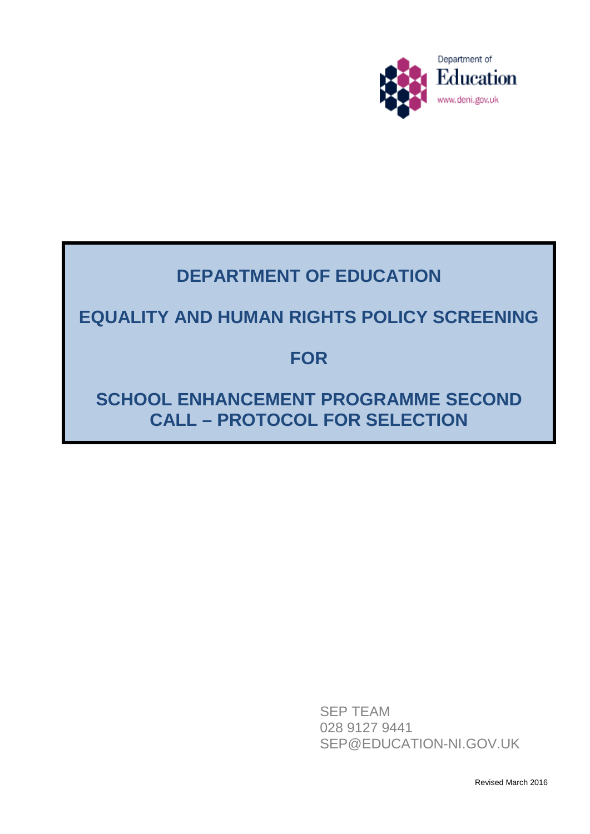

# **DEPARTMENT OF EDUCATION**

# **EQUALITY AND HUMAN RIGHTS POLICY SCREENING**

## **FOR**

# **SCHOOL ENHANCEMENT PROGRAMME SECOND CALL – PROTOCOL FOR SELECTION**

SEP TEAM 028 9127 9441 SEP@EDUCATION-NI.GOV.UK

Revised March 2016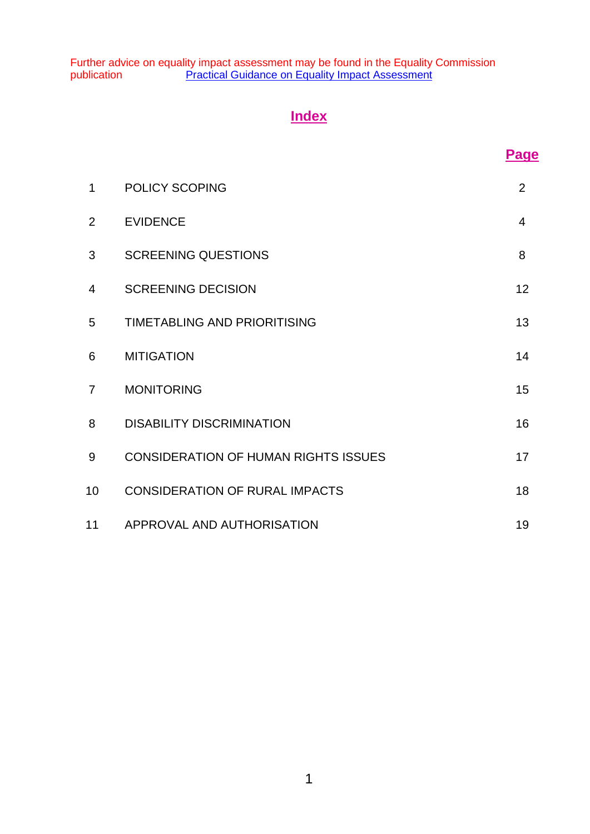Further advice on equality impact assessment may be found in the Equality Commission publication **[Practical Guidance on Equality Impact Assessment](http://www.equalityni.org/ECNI/media/ECNI/Publications/Employers%20and%20Service%20Providers/PracticalGuidanceonEQIA2005.pdf)** 

## **Index**

| 1               | <b>POLICY SCOPING</b>                       | 2  |
|-----------------|---------------------------------------------|----|
| $\overline{2}$  | <b>EVIDENCE</b>                             | 4  |
| 3               | <b>SCREENING QUESTIONS</b>                  | 8  |
| 4               | <b>SCREENING DECISION</b>                   | 12 |
| 5               | <b>TIMETABLING AND PRIORITISING</b>         | 13 |
| 6               | <b>MITIGATION</b>                           | 14 |
| $\overline{7}$  | <b>MONITORING</b>                           | 15 |
| 8               | <b>DISABILITY DISCRIMINATION</b>            | 16 |
| 9               | <b>CONSIDERATION OF HUMAN RIGHTS ISSUES</b> | 17 |
| 10 <sup>°</sup> | <b>CONSIDERATION OF RURAL IMPACTS</b>       | 18 |
| 11              | APPROVAL AND AUTHORISATION                  | 19 |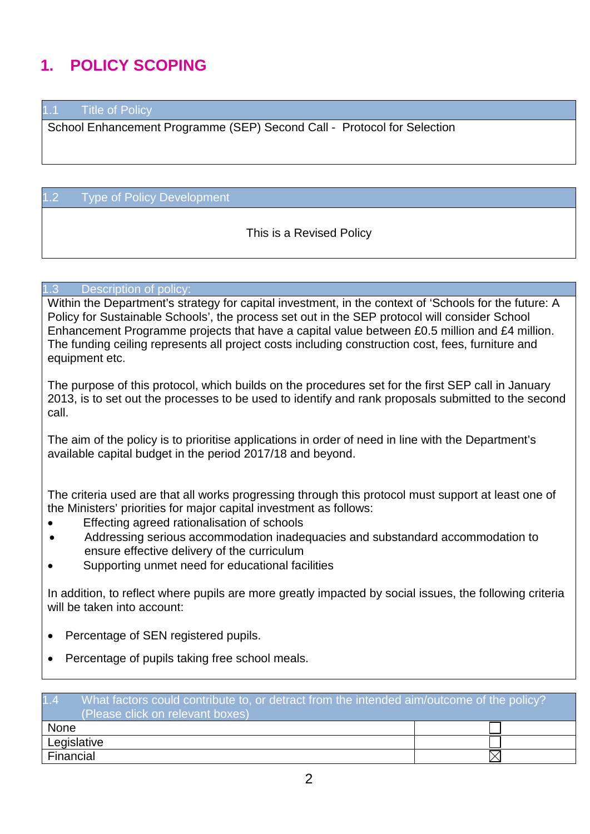# **1. POLICY SCOPING**

1.1 Title of Policy

School Enhancement Programme (SEP) Second Call - Protocol for Selection

#### 1.2 Type of Policy Development

This is a Revised Policy

#### 1.3 Description of policy:

Within the Department's strategy for capital investment, in the context of 'Schools for the future: A Policy for Sustainable Schools', the process set out in the SEP protocol will consider School Enhancement Programme projects that have a capital value between £0.5 million and £4 million. The funding ceiling represents all project costs including construction cost, fees, furniture and equipment etc.

The purpose of this protocol, which builds on the procedures set for the first SEP call in January 2013, is to set out the processes to be used to identify and rank proposals submitted to the second call.

The aim of the policy is to prioritise applications in order of need in line with the Department's available capital budget in the period 2017/18 and beyond.

The criteria used are that all works progressing through this protocol must support at least one of the Ministers' priorities for major capital investment as follows:

- Effecting agreed rationalisation of schools
- Addressing serious accommodation inadequacies and substandard accommodation to ensure effective delivery of the curriculum
- Supporting unmet need for educational facilities

In addition, to reflect where pupils are more greatly impacted by social issues, the following criteria will be taken into account:

- Percentage of SEN registered pupils.
- Percentage of pupils taking free school meals.

| 1.4<br>What factors could contribute to, or detract from the intended aim/outcome of the policy?<br>(Please click on relevant boxes) |  |  |  |
|--------------------------------------------------------------------------------------------------------------------------------------|--|--|--|
| None                                                                                                                                 |  |  |  |
| Legislative                                                                                                                          |  |  |  |
| Financial                                                                                                                            |  |  |  |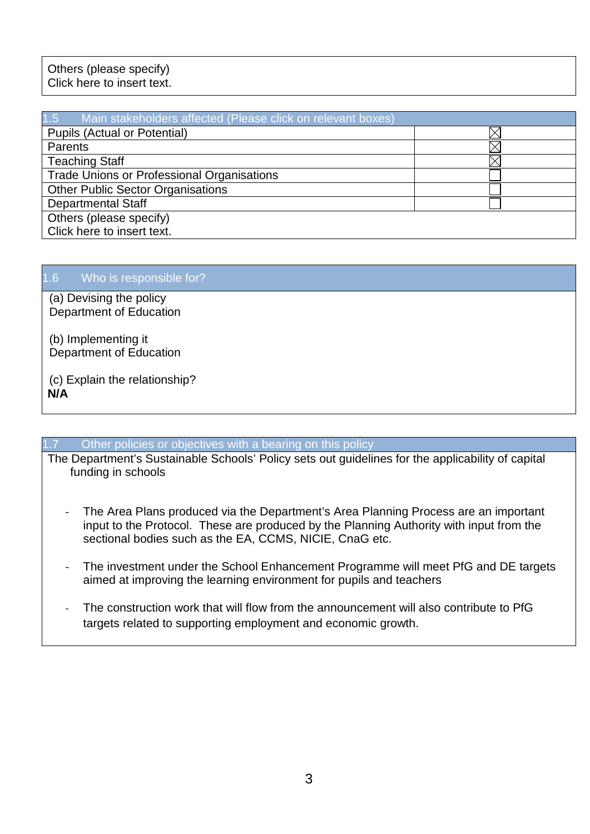### Others (please specify) Click here to insert text.

| 1.5 Main stakeholders affected (Please click on relevant boxes) |  |
|-----------------------------------------------------------------|--|
| <b>Pupils (Actual or Potential)</b>                             |  |
| Parents                                                         |  |
| <b>Teaching Staff</b>                                           |  |
| <b>Trade Unions or Professional Organisations</b>               |  |
| <b>Other Public Sector Organisations</b>                        |  |
| <b>Departmental Staff</b>                                       |  |
| Others (please specify)                                         |  |
| Click here to insert text.                                      |  |

### 1.6 Who is responsible for?

(a) Devising the policy Department of Education

(b) Implementing it Department of Education

(c) Explain the relationship? **N/A**

#### Other policies or objectives with a bearing on this policy

The Department's Sustainable Schools' Policy sets out guidelines for the applicability of capital funding in schools

- The Area Plans produced via the Department's Area Planning Process are an important input to the Protocol. These are produced by the Planning Authority with input from the sectional bodies such as the EA, CCMS, NICIE, CnaG etc.
- The investment under the School Enhancement Programme will meet PfG and DE targets aimed at improving the learning environment for pupils and teachers
- The construction work that will flow from the announcement will also contribute to PfG targets related to supporting employment and economic growth.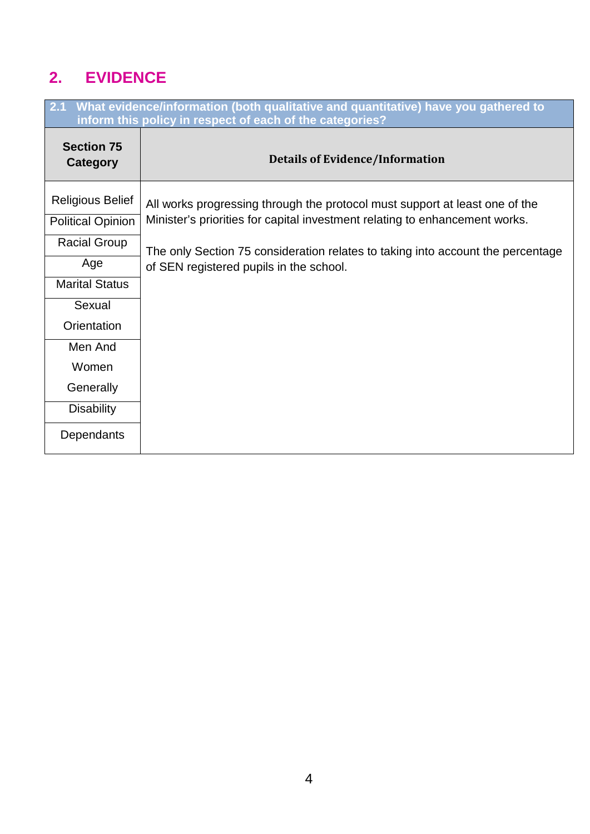# **2. EVIDENCE**

| What evidence/information (both qualitative and quantitative) have you gathered to<br>2.1<br>inform this policy in respect of each of the categories? |                                                                                 |  |  |
|-------------------------------------------------------------------------------------------------------------------------------------------------------|---------------------------------------------------------------------------------|--|--|
| <b>Section 75</b><br><b>Category</b>                                                                                                                  | <b>Details of Evidence/Information</b>                                          |  |  |
| <b>Religious Belief</b>                                                                                                                               | All works progressing through the protocol must support at least one of the     |  |  |
| <b>Political Opinion</b>                                                                                                                              | Minister's priorities for capital investment relating to enhancement works.     |  |  |
| <b>Racial Group</b>                                                                                                                                   | The only Section 75 consideration relates to taking into account the percentage |  |  |
| Age                                                                                                                                                   | of SEN registered pupils in the school.                                         |  |  |
| <b>Marital Status</b>                                                                                                                                 |                                                                                 |  |  |
| Sexual                                                                                                                                                |                                                                                 |  |  |
| Orientation                                                                                                                                           |                                                                                 |  |  |
| Men And                                                                                                                                               |                                                                                 |  |  |
| Women                                                                                                                                                 |                                                                                 |  |  |
| Generally                                                                                                                                             |                                                                                 |  |  |
| <b>Disability</b>                                                                                                                                     |                                                                                 |  |  |
| Dependants                                                                                                                                            |                                                                                 |  |  |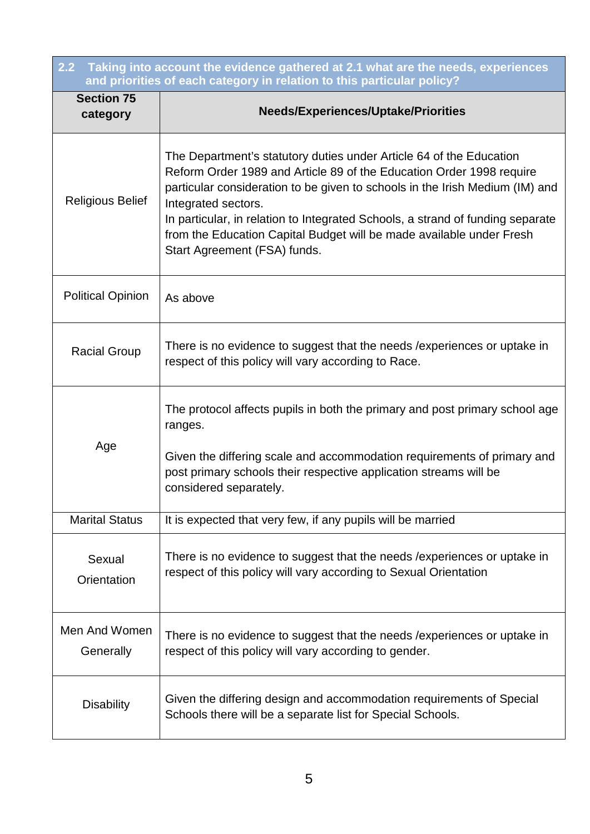| $\overline{2.2}$<br>Taking into account the evidence gathered at 2.1 what are the needs, experiences<br>and priorities of each category in relation to this particular policy? |                                                                                                                                                                                                                                                                                                                                                                                                                                              |  |  |
|--------------------------------------------------------------------------------------------------------------------------------------------------------------------------------|----------------------------------------------------------------------------------------------------------------------------------------------------------------------------------------------------------------------------------------------------------------------------------------------------------------------------------------------------------------------------------------------------------------------------------------------|--|--|
| <b>Section 75</b><br>category                                                                                                                                                  | <b>Needs/Experiences/Uptake/Priorities</b>                                                                                                                                                                                                                                                                                                                                                                                                   |  |  |
| <b>Religious Belief</b>                                                                                                                                                        | The Department's statutory duties under Article 64 of the Education<br>Reform Order 1989 and Article 89 of the Education Order 1998 require<br>particular consideration to be given to schools in the Irish Medium (IM) and<br>Integrated sectors.<br>In particular, in relation to Integrated Schools, a strand of funding separate<br>from the Education Capital Budget will be made available under Fresh<br>Start Agreement (FSA) funds. |  |  |
| <b>Political Opinion</b>                                                                                                                                                       | As above                                                                                                                                                                                                                                                                                                                                                                                                                                     |  |  |
| <b>Racial Group</b>                                                                                                                                                            | There is no evidence to suggest that the needs / experiences or uptake in<br>respect of this policy will vary according to Race.                                                                                                                                                                                                                                                                                                             |  |  |
| Age                                                                                                                                                                            | The protocol affects pupils in both the primary and post primary school age<br>ranges.<br>Given the differing scale and accommodation requirements of primary and<br>post primary schools their respective application streams will be<br>considered separately.                                                                                                                                                                             |  |  |
| <b>Marital Status</b>                                                                                                                                                          | It is expected that very few, if any pupils will be married                                                                                                                                                                                                                                                                                                                                                                                  |  |  |
| Sexual<br>Orientation                                                                                                                                                          | There is no evidence to suggest that the needs / experiences or uptake in<br>respect of this policy will vary according to Sexual Orientation                                                                                                                                                                                                                                                                                                |  |  |
| Men And Women<br>Generally                                                                                                                                                     | There is no evidence to suggest that the needs / experiences or uptake in<br>respect of this policy will vary according to gender.                                                                                                                                                                                                                                                                                                           |  |  |
| <b>Disability</b>                                                                                                                                                              | Given the differing design and accommodation requirements of Special<br>Schools there will be a separate list for Special Schools.                                                                                                                                                                                                                                                                                                           |  |  |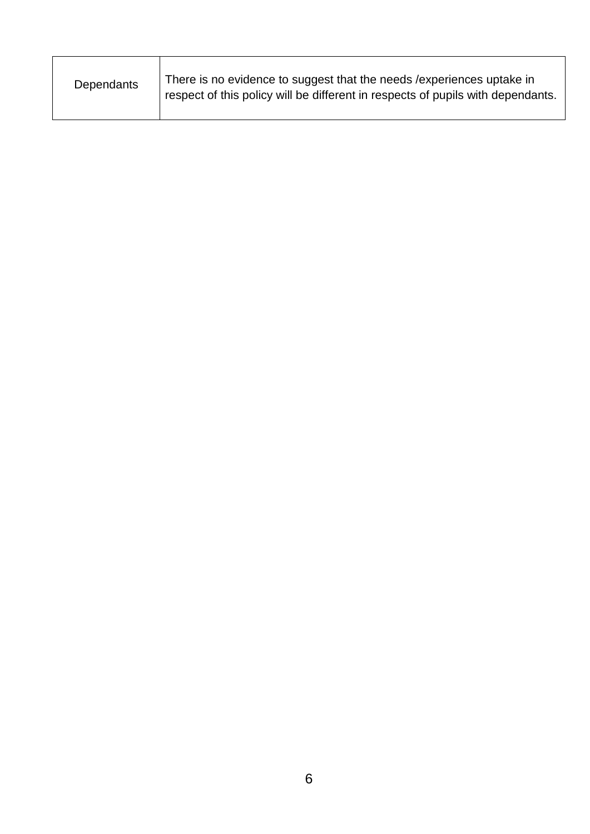| There is no evidence to suggest that the needs / experiences uptake in<br>Dependants<br>respect of this policy will be different in respects of pupils with dependants. |  |
|-------------------------------------------------------------------------------------------------------------------------------------------------------------------------|--|
|-------------------------------------------------------------------------------------------------------------------------------------------------------------------------|--|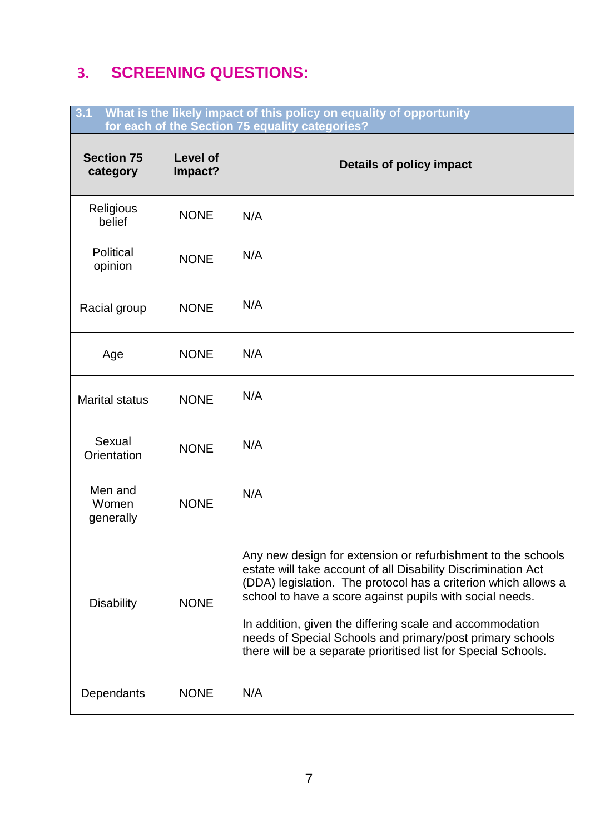# **3. SCREENING QUESTIONS:**

| What is the likely impact of this policy on equality of opportunity<br>3.1<br>for each of the Section 75 equality categories? |                            |                                                                                                                                                                                                                                                                                                                                                                                                                                                        |  |
|-------------------------------------------------------------------------------------------------------------------------------|----------------------------|--------------------------------------------------------------------------------------------------------------------------------------------------------------------------------------------------------------------------------------------------------------------------------------------------------------------------------------------------------------------------------------------------------------------------------------------------------|--|
| <b>Section 75</b><br>category                                                                                                 | <b>Level of</b><br>Impact? | Details of policy impact                                                                                                                                                                                                                                                                                                                                                                                                                               |  |
| Religious<br>belief                                                                                                           | <b>NONE</b>                | N/A                                                                                                                                                                                                                                                                                                                                                                                                                                                    |  |
| Political<br>opinion                                                                                                          | <b>NONE</b>                | N/A                                                                                                                                                                                                                                                                                                                                                                                                                                                    |  |
| Racial group                                                                                                                  | <b>NONE</b>                | N/A                                                                                                                                                                                                                                                                                                                                                                                                                                                    |  |
| Age                                                                                                                           | <b>NONE</b>                | N/A                                                                                                                                                                                                                                                                                                                                                                                                                                                    |  |
| <b>Marital status</b>                                                                                                         | <b>NONE</b>                | N/A                                                                                                                                                                                                                                                                                                                                                                                                                                                    |  |
| Sexual<br>Orientation                                                                                                         | <b>NONE</b>                | N/A                                                                                                                                                                                                                                                                                                                                                                                                                                                    |  |
| Men and<br>Women<br>generally                                                                                                 | <b>NONE</b>                | N/A                                                                                                                                                                                                                                                                                                                                                                                                                                                    |  |
| <b>Disability</b>                                                                                                             | <b>NONE</b>                | Any new design for extension or refurbishment to the schools<br>estate will take account of all Disability Discrimination Act<br>(DDA) legislation. The protocol has a criterion which allows a<br>school to have a score against pupils with social needs.<br>In addition, given the differing scale and accommodation<br>needs of Special Schools and primary/post primary schools<br>there will be a separate prioritised list for Special Schools. |  |
| Dependants                                                                                                                    | <b>NONE</b>                | N/A                                                                                                                                                                                                                                                                                                                                                                                                                                                    |  |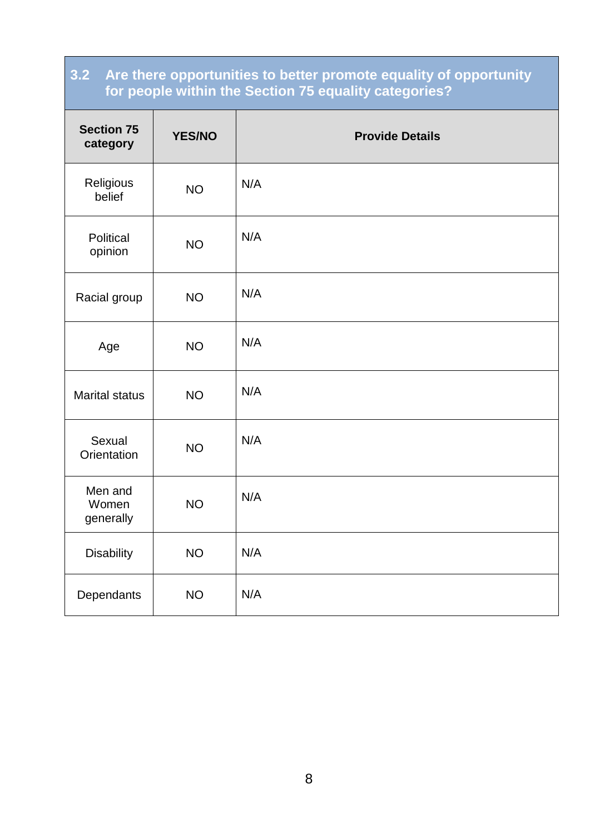### **3.2 Are there opportunities to better promote equality of opportunity for people within the Section 75 equality categories?**

| <b>Section 75</b><br>category | <b>YES/NO</b> | <b>Provide Details</b> |
|-------------------------------|---------------|------------------------|
| Religious<br>belief           | <b>NO</b>     | N/A                    |
| Political<br>opinion          | <b>NO</b>     | N/A                    |
| Racial group                  | <b>NO</b>     | N/A                    |
| Age                           | <b>NO</b>     | N/A                    |
| <b>Marital status</b>         | <b>NO</b>     | N/A                    |
| Sexual<br>Orientation         | <b>NO</b>     | N/A                    |
| Men and<br>Women<br>generally | <b>NO</b>     | N/A                    |
| <b>Disability</b>             | <b>NO</b>     | N/A                    |
| Dependants                    | <b>NO</b>     | N/A                    |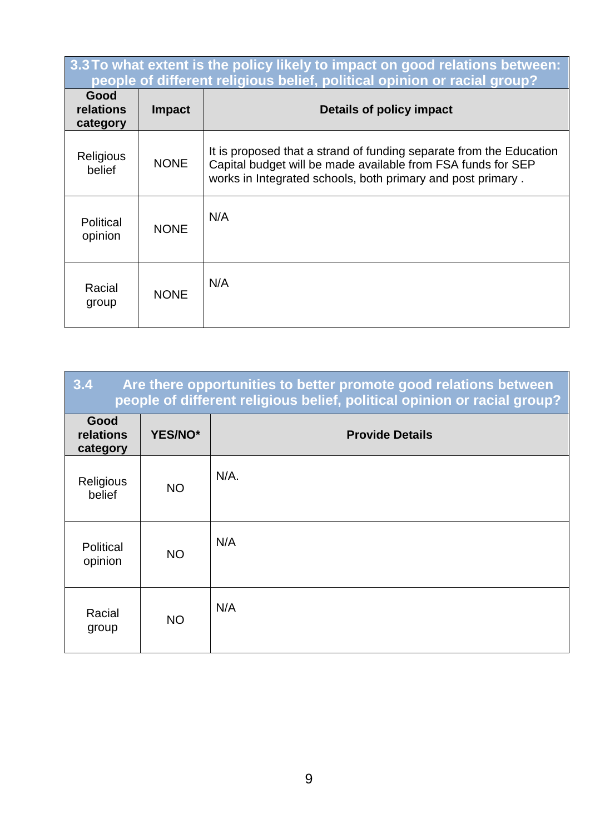| 3.3 To what extent is the policy likely to impact on good relations between:<br>people of different religious belief, political opinion or racial group? |               |                                                                                                                                                                                                    |  |
|----------------------------------------------------------------------------------------------------------------------------------------------------------|---------------|----------------------------------------------------------------------------------------------------------------------------------------------------------------------------------------------------|--|
| Good<br>relations<br>category                                                                                                                            | <b>Impact</b> | Details of policy impact                                                                                                                                                                           |  |
| Religious<br>belief                                                                                                                                      | <b>NONE</b>   | It is proposed that a strand of funding separate from the Education<br>Capital budget will be made available from FSA funds for SEP<br>works in Integrated schools, both primary and post primary. |  |
| Political<br>opinion                                                                                                                                     | <b>NONE</b>   | N/A                                                                                                                                                                                                |  |
| Racial<br>group                                                                                                                                          | <b>NONE</b>   | N/A                                                                                                                                                                                                |  |

| 3.4<br>Are there opportunities to better promote good relations between<br>people of different religious belief, political opinion or racial group? |           |                        |  |
|-----------------------------------------------------------------------------------------------------------------------------------------------------|-----------|------------------------|--|
| Good<br>relations<br>category                                                                                                                       | YES/NO*   | <b>Provide Details</b> |  |
| <b>Religious</b><br>belief                                                                                                                          | <b>NO</b> | $N/A$ .                |  |
| Political<br>opinion                                                                                                                                | <b>NO</b> | N/A                    |  |
| Racial<br>group                                                                                                                                     | <b>NO</b> | N/A                    |  |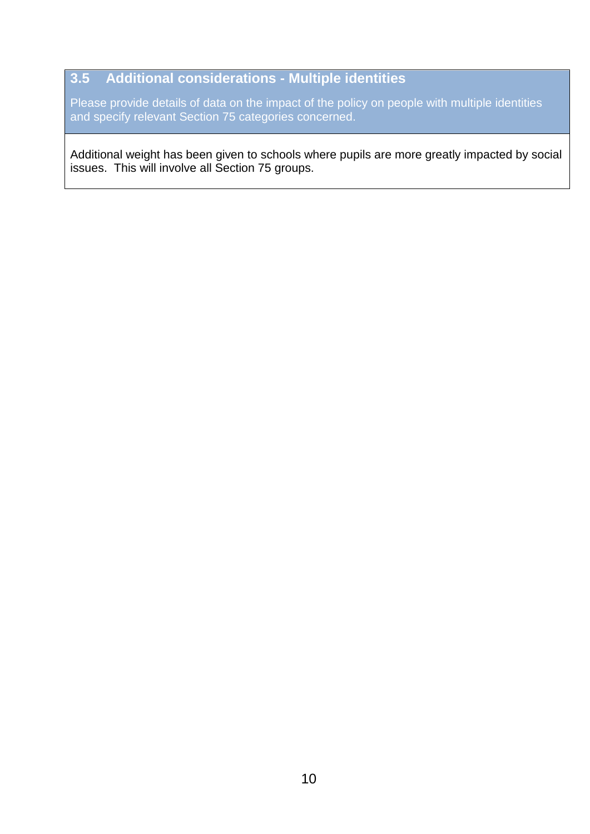### **3.5 Additional considerations - Multiple identities**

Please provide details of data on the impact of the policy on people with multiple identities and specify relevant Section 75 categories concerned.

Additional weight has been given to schools where pupils are more greatly impacted by social issues. This will involve all Section 75 groups.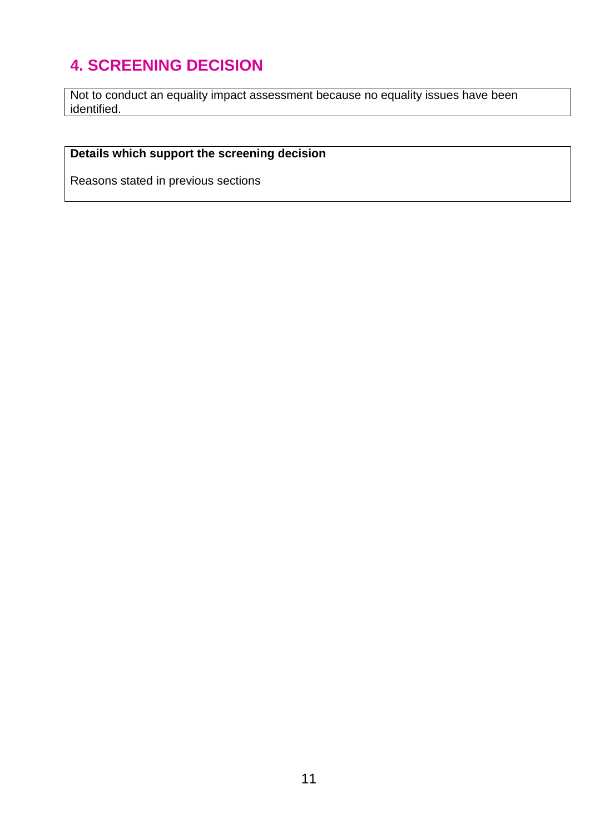# **4. SCREENING DECISION**

Not to conduct an equality impact assessment because no equality issues have been identified.

## **Details which support the screening decision**

Reasons stated in previous sections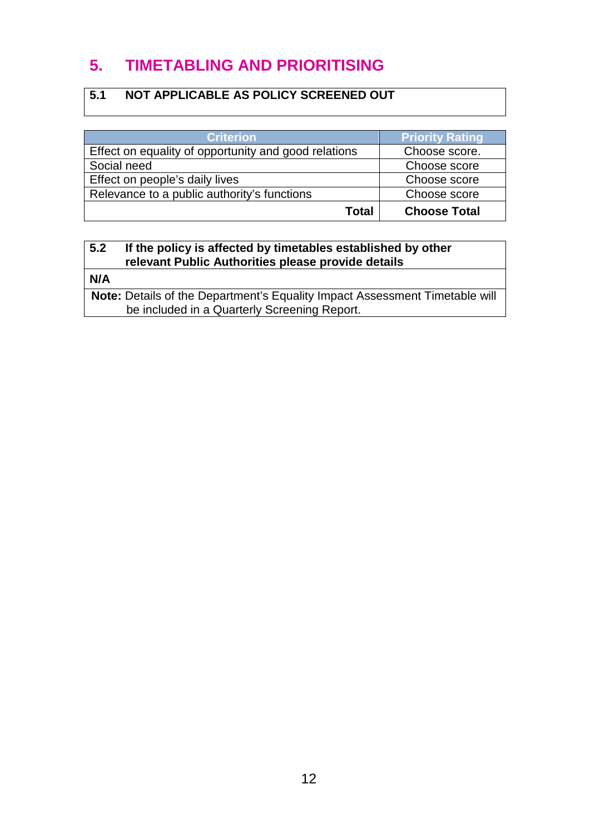## **5. TIMETABLING AND PRIORITISING**

### **5.1 NOT APPLICABLE AS POLICY SCREENED OUT**

| <b>Criterion</b>                                     | <b>Priority Rating</b> |
|------------------------------------------------------|------------------------|
| Effect on equality of opportunity and good relations | Choose score.          |
| Social need                                          | Choose score           |
| Effect on people's daily lives                       | Choose score           |
| Relevance to a public authority's functions          | Choose score           |
| Total                                                | <b>Choose Total</b>    |

### **5.2 If the policy is affected by timetables established by other relevant Public Authorities please provide details**

**N/A**

**Note:** Details of the Department's Equality Impact Assessment Timetable will be included in a Quarterly Screening Report.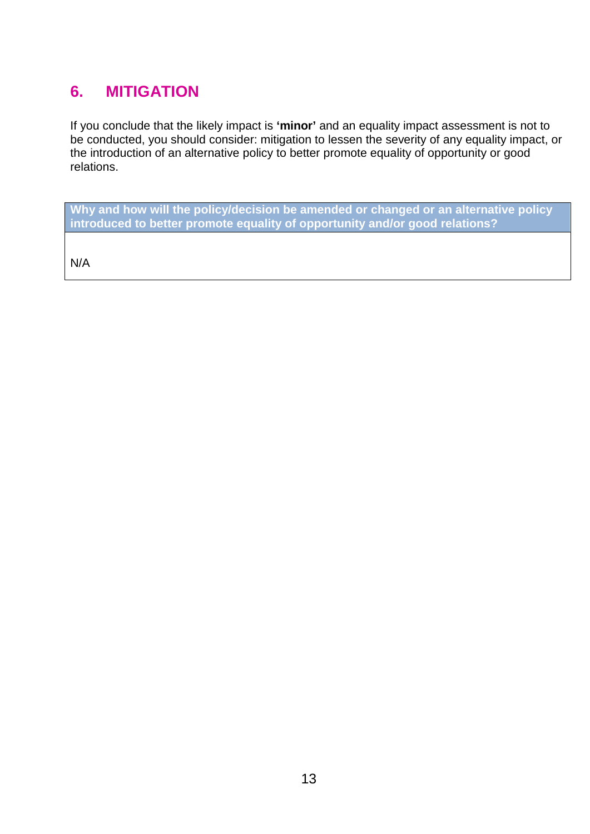## **6. MITIGATION**

If you conclude that the likely impact is **'minor'** and an equality impact assessment is not to be conducted, you should consider: mitigation to lessen the severity of any equality impact, or the introduction of an alternative policy to better promote equality of opportunity or good relations.

**Why and how will the policy/decision be amended or changed or an alternative policy introduced to better promote equality of opportunity and/or good relations?** 

N/A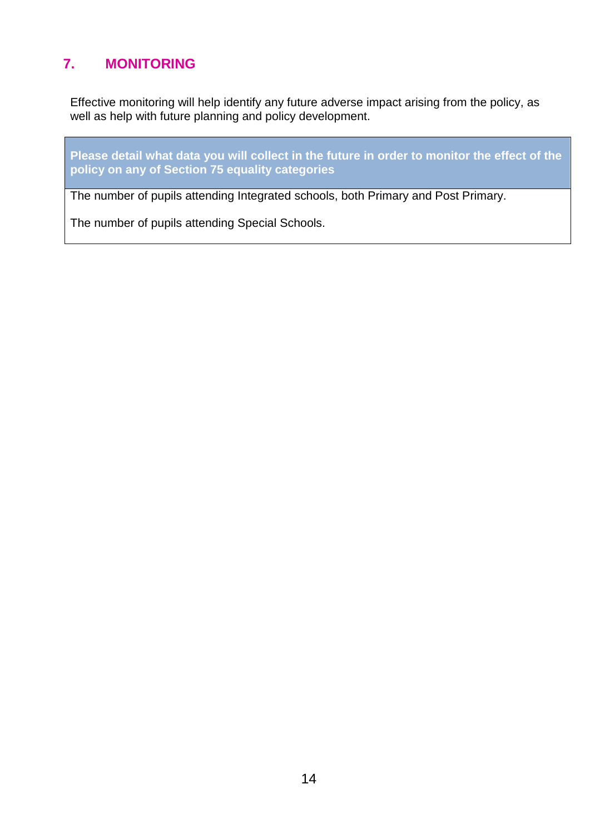## **7. MONITORING**

Effective monitoring will help identify any future adverse impact arising from the policy, as well as help with future planning and policy development.

**Please detail what data you will collect in the future in order to monitor the effect of the policy on any of Section 75 equality categories**

The number of pupils attending Integrated schools, both Primary and Post Primary.

The number of pupils attending Special Schools.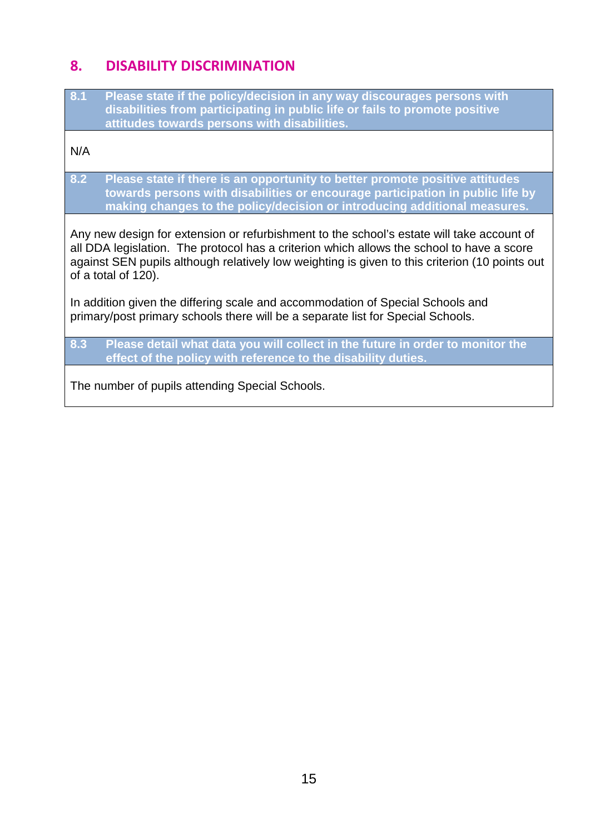### **8. DISABILITY DISCRIMINATION**

**8.1 Please state if the policy/decision in any way discourages persons with disabilities from participating in public life or fails to promote positive attitudes towards persons with disabilities.**

N/A

**8.2 Please state if there is an opportunity to better promote positive attitudes towards persons with disabilities or encourage participation in public life by making changes to the policy/decision or introducing additional measures.**

Any new design for extension or refurbishment to the school's estate will take account of all DDA legislation. The protocol has a criterion which allows the school to have a score against SEN pupils although relatively low weighting is given to this criterion (10 points out of a total of 120).

In addition given the differing scale and accommodation of Special Schools and primary/post primary schools there will be a separate list for Special Schools.

**8.3 Please detail what data you will collect in the future in order to monitor the effect of the policy with reference to the disability duties.**

The number of pupils attending Special Schools.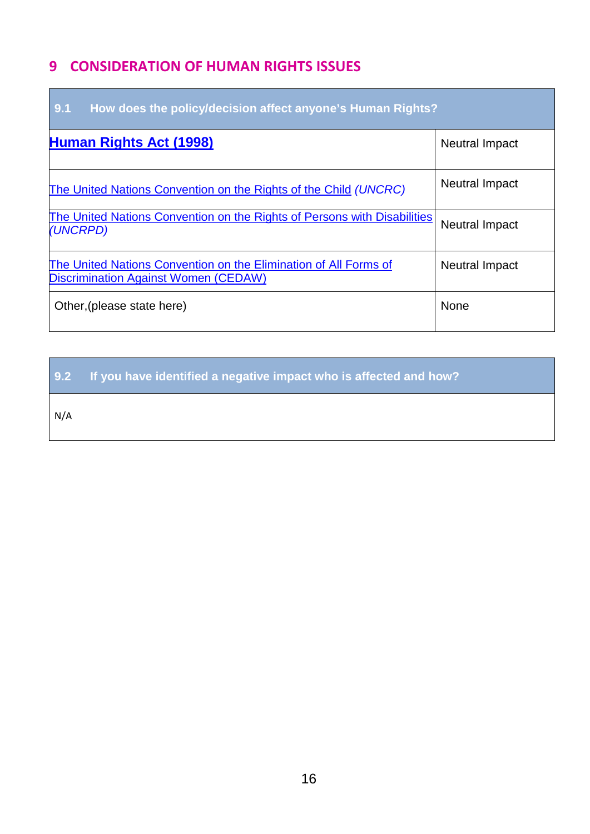### **9 CONSIDERATION OF HUMAN RIGHTS ISSUES**

| 9.1<br>How does the policy/decision affect anyone's Human Rights?                                        |                       |  |  |
|----------------------------------------------------------------------------------------------------------|-----------------------|--|--|
| <b>Human Rights Act (1998)</b>                                                                           | <b>Neutral Impact</b> |  |  |
| The United Nations Convention on the Rights of the Child (UNCRC)                                         | <b>Neutral Impact</b> |  |  |
| The United Nations Convention on the Rights of Persons with Disabilities<br>(UNCRPD)                     | <b>Neutral Impact</b> |  |  |
| The United Nations Convention on the Elimination of All Forms of<br>Discrimination Against Women (CEDAW) | <b>Neutral Impact</b> |  |  |
| Other, (please state here)                                                                               | <b>None</b>           |  |  |

**9.2 If you have identified a negative impact who is affected and how?**

N/A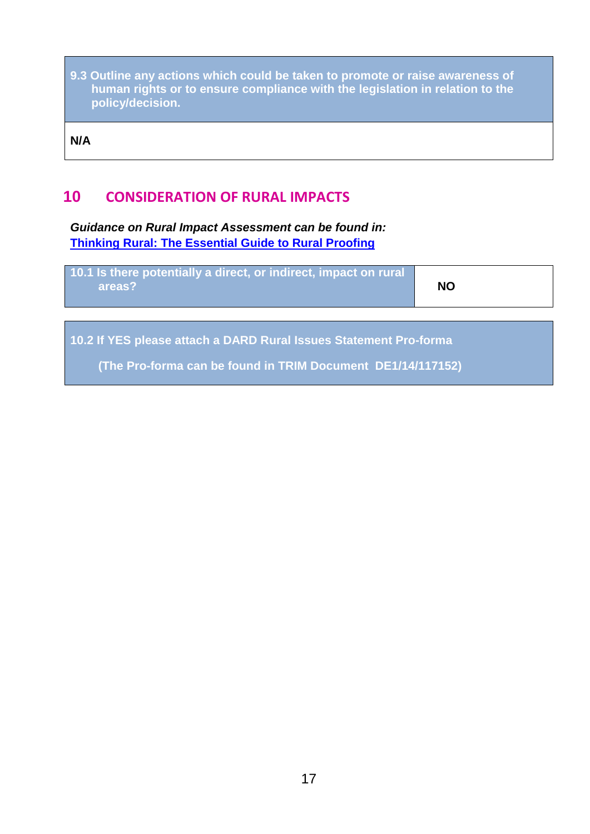**9.3 Outline any actions which could be taken to promote or raise awareness of human rights or to ensure compliance with the legislation in relation to the policy/decision.**

**N/A**

### **10 CONSIDERATION OF RURAL IMPACTS**

*Guidance on Rural Impact Assessment can be found in:* **[Thinking Rural: The Essential Guide to Rural Proofing](https://www.dardni.gov.uk/sites/default/files/publications/dard/guide-to-rural-proofing.pdf)**

| 10.1 Is there potentially a direct, or indirect, impact on rural<br><b>NO</b><br>areas? |  |
|-----------------------------------------------------------------------------------------|--|
|-----------------------------------------------------------------------------------------|--|

**10.2 If YES please attach a DARD Rural Issues Statement Pro-forma** 

**(The Pro-forma can be found in TRIM Document DE1/14/117152)**